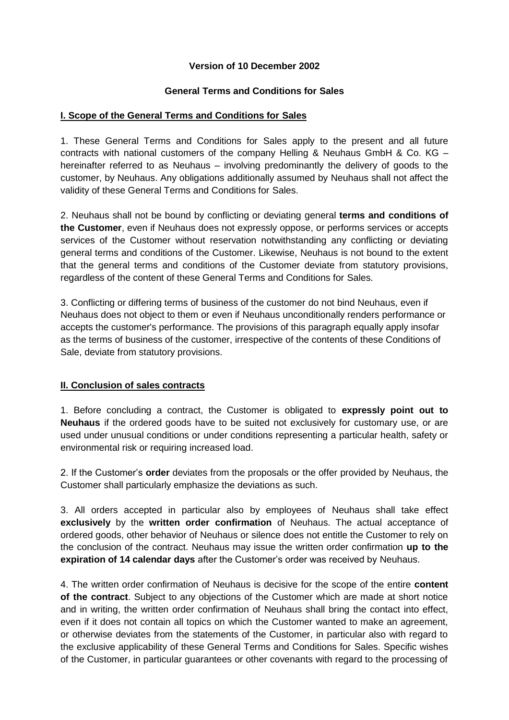## **Version of 10 December 2002**

### **General Terms and Conditions for Sales**

## **I. Scope of the General Terms and Conditions for Sales**

1. These General Terms and Conditions for Sales apply to the present and all future contracts with national customers of the company Helling & Neuhaus GmbH & Co. KG – hereinafter referred to as Neuhaus – involving predominantly the delivery of goods to the customer, by Neuhaus. Any obligations additionally assumed by Neuhaus shall not affect the validity of these General Terms and Conditions for Sales.

2. Neuhaus shall not be bound by conflicting or deviating general **terms and conditions of the Customer**, even if Neuhaus does not expressly oppose, or performs services or accepts services of the Customer without reservation notwithstanding any conflicting or deviating general terms and conditions of the Customer. Likewise, Neuhaus is not bound to the extent that the general terms and conditions of the Customer deviate from statutory provisions, regardless of the content of these General Terms and Conditions for Sales.

3. Conflicting or differing terms of business of the customer do not bind Neuhaus, even if Neuhaus does not object to them or even if Neuhaus unconditionally renders performance or accepts the customer's performance. The provisions of this paragraph equally apply insofar as the terms of business of the customer, irrespective of the contents of these Conditions of Sale, deviate from statutory provisions.

## **II. Conclusion of sales contracts**

1. Before concluding a contract, the Customer is obligated to **expressly point out to Neuhaus** if the ordered goods have to be suited not exclusively for customary use, or are used under unusual conditions or under conditions representing a particular health, safety or environmental risk or requiring increased load.

2. If the Customer's **order** deviates from the proposals or the offer provided by Neuhaus, the Customer shall particularly emphasize the deviations as such.

3. All orders accepted in particular also by employees of Neuhaus shall take effect **exclusively** by the **written order confirmation** of Neuhaus. The actual acceptance of ordered goods, other behavior of Neuhaus or silence does not entitle the Customer to rely on the conclusion of the contract. Neuhaus may issue the written order confirmation **up to the expiration of 14 calendar days** after the Customer's order was received by Neuhaus.

4. The written order confirmation of Neuhaus is decisive for the scope of the entire **content of the contract**. Subject to any objections of the Customer which are made at short notice and in writing, the written order confirmation of Neuhaus shall bring the contact into effect, even if it does not contain all topics on which the Customer wanted to make an agreement, or otherwise deviates from the statements of the Customer, in particular also with regard to the exclusive applicability of these General Terms and Conditions for Sales. Specific wishes of the Customer, in particular guarantees or other covenants with regard to the processing of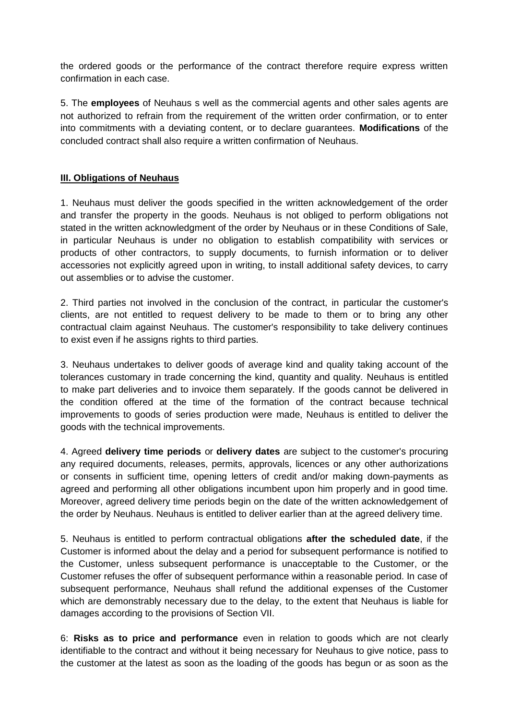the ordered goods or the performance of the contract therefore require express written confirmation in each case.

5. The **employees** of Neuhaus s well as the commercial agents and other sales agents are not authorized to refrain from the requirement of the written order confirmation, or to enter into commitments with a deviating content, or to declare guarantees. **Modifications** of the concluded contract shall also require a written confirmation of Neuhaus.

## **III. Obligations of Neuhaus**

1. Neuhaus must deliver the goods specified in the written acknowledgement of the order and transfer the property in the goods. Neuhaus is not obliged to perform obligations not stated in the written acknowledgment of the order by Neuhaus or in these Conditions of Sale, in particular Neuhaus is under no obligation to establish compatibility with services or products of other contractors, to supply documents, to furnish information or to deliver accessories not explicitly agreed upon in writing, to install additional safety devices, to carry out assemblies or to advise the customer.

2. Third parties not involved in the conclusion of the contract, in particular the customer's clients, are not entitled to request delivery to be made to them or to bring any other contractual claim against Neuhaus. The customer's responsibility to take delivery continues to exist even if he assigns rights to third parties.

3. Neuhaus undertakes to deliver goods of average kind and quality taking account of the tolerances customary in trade concerning the kind, quantity and quality. Neuhaus is entitled to make part deliveries and to invoice them separately. If the goods cannot be delivered in the condition offered at the time of the formation of the contract because technical improvements to goods of series production were made, Neuhaus is entitled to deliver the goods with the technical improvements.

4. Agreed **delivery time periods** or **delivery dates** are subject to the customer's procuring any required documents, releases, permits, approvals, licences or any other authorizations or consents in sufficient time, opening letters of credit and/or making down-payments as agreed and performing all other obligations incumbent upon him properly and in good time. Moreover, agreed delivery time periods begin on the date of the written acknowledgement of the order by Neuhaus. Neuhaus is entitled to deliver earlier than at the agreed delivery time.

5. Neuhaus is entitled to perform contractual obligations **after the scheduled date**, if the Customer is informed about the delay and a period for subsequent performance is notified to the Customer, unless subsequent performance is unacceptable to the Customer, or the Customer refuses the offer of subsequent performance within a reasonable period. In case of subsequent performance, Neuhaus shall refund the additional expenses of the Customer which are demonstrably necessary due to the delay, to the extent that Neuhaus is liable for damages according to the provisions of Section VII.

6: **Risks as to price and performance** even in relation to goods which are not clearly identifiable to the contract and without it being necessary for Neuhaus to give notice, pass to the customer at the latest as soon as the loading of the goods has begun or as soon as the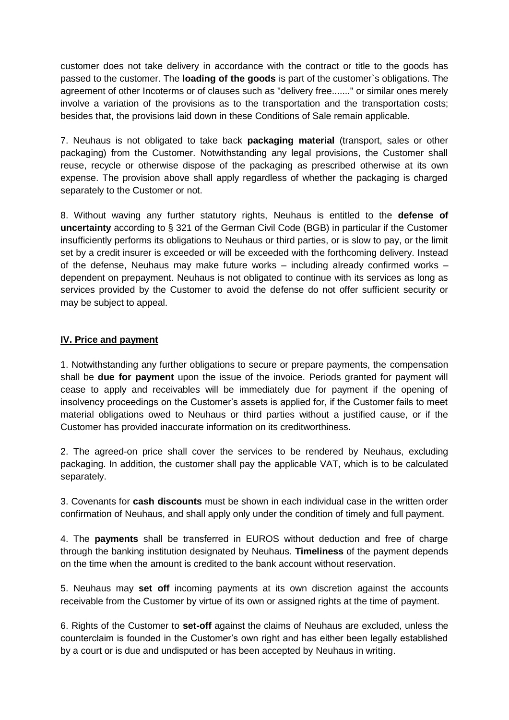customer does not take delivery in accordance with the contract or title to the goods has passed to the customer. The **loading of the goods** is part of the customer`s obligations. The agreement of other Incoterms or of clauses such as "delivery free......." or similar ones merely involve a variation of the provisions as to the transportation and the transportation costs; besides that, the provisions laid down in these Conditions of Sale remain applicable.

7. Neuhaus is not obligated to take back **packaging material** (transport, sales or other packaging) from the Customer. Notwithstanding any legal provisions, the Customer shall reuse, recycle or otherwise dispose of the packaging as prescribed otherwise at its own expense. The provision above shall apply regardless of whether the packaging is charged separately to the Customer or not.

8. Without waving any further statutory rights, Neuhaus is entitled to the **defense of uncertainty** according to § 321 of the German Civil Code (BGB) in particular if the Customer insufficiently performs its obligations to Neuhaus or third parties, or is slow to pay, or the limit set by a credit insurer is exceeded or will be exceeded with the forthcoming delivery. Instead of the defense, Neuhaus may make future works – including already confirmed works – dependent on prepayment. Neuhaus is not obligated to continue with its services as long as services provided by the Customer to avoid the defense do not offer sufficient security or may be subject to appeal.

## **IV. Price and payment**

1. Notwithstanding any further obligations to secure or prepare payments, the compensation shall be **due for payment** upon the issue of the invoice. Periods granted for payment will cease to apply and receivables will be immediately due for payment if the opening of insolvency proceedings on the Customer's assets is applied for, if the Customer fails to meet material obligations owed to Neuhaus or third parties without a justified cause, or if the Customer has provided inaccurate information on its creditworthiness.

2. The agreed-on price shall cover the services to be rendered by Neuhaus, excluding packaging. In addition, the customer shall pay the applicable VAT, which is to be calculated separately.

3. Covenants for **cash discounts** must be shown in each individual case in the written order confirmation of Neuhaus, and shall apply only under the condition of timely and full payment.

4. The **payments** shall be transferred in EUROS without deduction and free of charge through the banking institution designated by Neuhaus. **Timeliness** of the payment depends on the time when the amount is credited to the bank account without reservation.

5. Neuhaus may **set off** incoming payments at its own discretion against the accounts receivable from the Customer by virtue of its own or assigned rights at the time of payment.

6. Rights of the Customer to **set-off** against the claims of Neuhaus are excluded, unless the counterclaim is founded in the Customer's own right and has either been legally established by a court or is due and undisputed or has been accepted by Neuhaus in writing.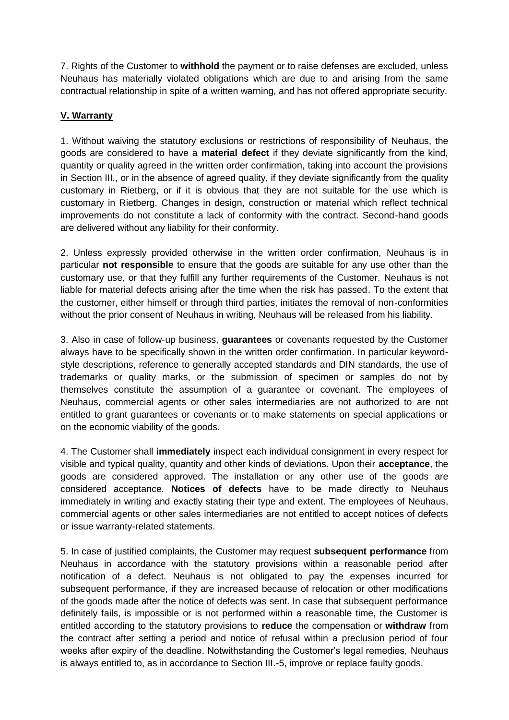7. Rights of the Customer to **withhold** the payment or to raise defenses are excluded, unless Neuhaus has materially violated obligations which are due to and arising from the same contractual relationship in spite of a written warning, and has not offered appropriate security.

# **V. Warranty**

1. Without waiving the statutory exclusions or restrictions of responsibility of Neuhaus, the goods are considered to have a **material defect** if they deviate significantly from the kind, quantity or quality agreed in the written order confirmation, taking into account the provisions in Section III., or in the absence of agreed quality, if they deviate significantly from the quality customary in Rietberg, or if it is obvious that they are not suitable for the use which is customary in Rietberg. Changes in design, construction or material which reflect technical improvements do not constitute a lack of conformity with the contract. Second-hand goods are delivered without any liability for their conformity.

2. Unless expressly provided otherwise in the written order confirmation, Neuhaus is in particular **not responsible** to ensure that the goods are suitable for any use other than the customary use, or that they fulfill any further requirements of the Customer. Neuhaus is not liable for material defects arising after the time when the risk has passed. To the extent that the customer, either himself or through third parties, initiates the removal of non-conformities without the prior consent of Neuhaus in writing. Neuhaus will be released from his liability.

3. Also in case of follow-up business, **guarantees** or covenants requested by the Customer always have to be specifically shown in the written order confirmation. In particular keywordstyle descriptions, reference to generally accepted standards and DIN standards, the use of trademarks or quality marks, or the submission of specimen or samples do not by themselves constitute the assumption of a guarantee or covenant. The employees of Neuhaus, commercial agents or other sales intermediaries are not authorized to are not entitled to grant guarantees or covenants or to make statements on special applications or on the economic viability of the goods.

4. The Customer shall **immediately** inspect each individual consignment in every respect for visible and typical quality, quantity and other kinds of deviations. Upon their **acceptance**, the goods are considered approved. The installation or any other use of the goods are considered acceptance. **Notices of defects** have to be made directly to Neuhaus immediately in writing and exactly stating their type and extent. The employees of Neuhaus, commercial agents or other sales intermediaries are not entitled to accept notices of defects or issue warranty-related statements.

5. In case of justified complaints, the Customer may request **subsequent performance** from Neuhaus in accordance with the statutory provisions within a reasonable period after notification of a defect. Neuhaus is not obligated to pay the expenses incurred for subsequent performance, if they are increased because of relocation or other modifications of the goods made after the notice of defects was sent. In case that subsequent performance definitely fails, is impossible or is not performed within a reasonable time, the Customer is entitled according to the statutory provisions to **reduce** the compensation or **withdraw** from the contract after setting a period and notice of refusal within a preclusion period of four weeks after expiry of the deadline. Notwithstanding the Customer's legal remedies, Neuhaus is always entitled to, as in accordance to Section III.-5, improve or replace faulty goods.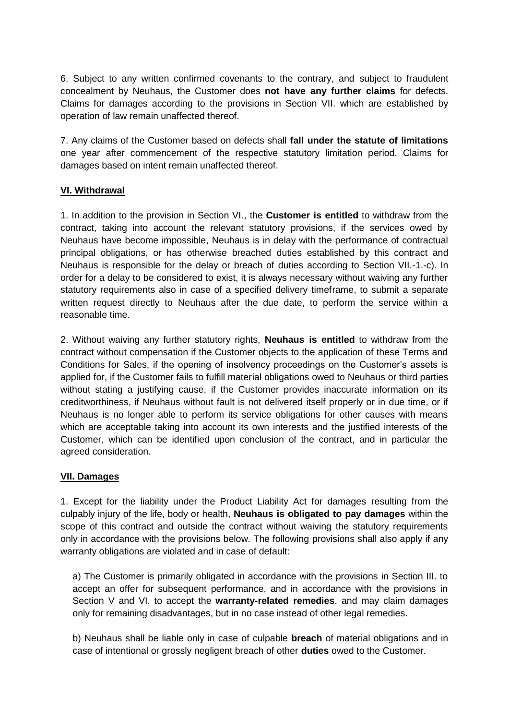6. Subject to any written confirmed covenants to the contrary, and subject to fraudulent concealment by Neuhaus, the Customer does **not have any further claims** for defects. Claims for damages according to the provisions in Section VII. which are established by operation of law remain unaffected thereof.

7. Any claims of the Customer based on defects shall **fall under the statute of limitations** one year after commencement of the respective statutory limitation period. Claims for damages based on intent remain unaffected thereof.

## **VI. Withdrawal**

1. In addition to the provision in Section VI., the **Customer is entitled** to withdraw from the contract, taking into account the relevant statutory provisions, if the services owed by Neuhaus have become impossible, Neuhaus is in delay with the performance of contractual principal obligations, or has otherwise breached duties established by this contract and Neuhaus is responsible for the delay or breach of duties according to Section VII.-1.-c). In order for a delay to be considered to exist, it is always necessary without waiving any further statutory requirements also in case of a specified delivery timeframe, to submit a separate written request directly to Neuhaus after the due date, to perform the service within a reasonable time.

2. Without waiving any further statutory rights, **Neuhaus is entitled** to withdraw from the contract without compensation if the Customer objects to the application of these Terms and Conditions for Sales, if the opening of insolvency proceedings on the Customer's assets is applied for, if the Customer fails to fulfill material obligations owed to Neuhaus or third parties without stating a justifying cause, if the Customer provides inaccurate information on its creditworthiness, if Neuhaus without fault is not delivered itself properly or in due time, or if Neuhaus is no longer able to perform its service obligations for other causes with means which are acceptable taking into account its own interests and the justified interests of the Customer, which can be identified upon conclusion of the contract, and in particular the agreed consideration.

#### **VII. Damages**

1. Except for the liability under the Product Liability Act for damages resulting from the culpably injury of the life, body or health, **Neuhaus is obligated to pay damages** within the scope of this contract and outside the contract without waiving the statutory requirements only in accordance with the provisions below. The following provisions shall also apply if any warranty obligations are violated and in case of default:

a) The Customer is primarily obligated in accordance with the provisions in Section III. to accept an offer for subsequent performance, and in accordance with the provisions in Section V and VI. to accept the **warranty-related remedies**, and may claim damages only for remaining disadvantages, but in no case instead of other legal remedies.

b) Neuhaus shall be liable only in case of culpable **breach** of material obligations and in case of intentional or grossly negligent breach of other **duties** owed to the Customer.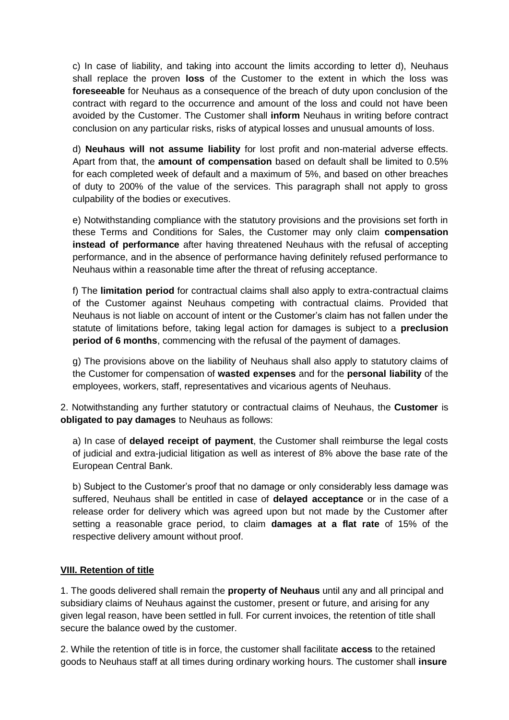c) In case of liability, and taking into account the limits according to letter d), Neuhaus shall replace the proven **loss** of the Customer to the extent in which the loss was **foreseeable** for Neuhaus as a consequence of the breach of duty upon conclusion of the contract with regard to the occurrence and amount of the loss and could not have been avoided by the Customer. The Customer shall **inform** Neuhaus in writing before contract conclusion on any particular risks, risks of atypical losses and unusual amounts of loss.

d) **Neuhaus will not assume liability** for lost profit and non-material adverse effects. Apart from that, the **amount of compensation** based on default shall be limited to 0.5% for each completed week of default and a maximum of 5%, and based on other breaches of duty to 200% of the value of the services. This paragraph shall not apply to gross culpability of the bodies or executives.

e) Notwithstanding compliance with the statutory provisions and the provisions set forth in these Terms and Conditions for Sales, the Customer may only claim **compensation instead of performance** after having threatened Neuhaus with the refusal of accepting performance, and in the absence of performance having definitely refused performance to Neuhaus within a reasonable time after the threat of refusing acceptance.

f) The **limitation period** for contractual claims shall also apply to extra-contractual claims of the Customer against Neuhaus competing with contractual claims. Provided that Neuhaus is not liable on account of intent or the Customer's claim has not fallen under the statute of limitations before, taking legal action for damages is subject to a **preclusion period of 6 months**, commencing with the refusal of the payment of damages.

g) The provisions above on the liability of Neuhaus shall also apply to statutory claims of the Customer for compensation of **wasted expenses** and for the **personal liability** of the employees, workers, staff, representatives and vicarious agents of Neuhaus.

2. Notwithstanding any further statutory or contractual claims of Neuhaus, the **Customer** is **obligated to pay damages** to Neuhaus as follows:

a) In case of **delayed receipt of payment**, the Customer shall reimburse the legal costs of judicial and extra-judicial litigation as well as interest of 8% above the base rate of the European Central Bank.

b) Subject to the Customer's proof that no damage or only considerably less damage was suffered, Neuhaus shall be entitled in case of **delayed acceptance** or in the case of a release order for delivery which was agreed upon but not made by the Customer after setting a reasonable grace period, to claim **damages at a flat rate** of 15% of the respective delivery amount without proof.

#### **VIII. Retention of title**

1. The goods delivered shall remain the **property of Neuhaus** until any and all principal and subsidiary claims of Neuhaus against the customer, present or future, and arising for any given legal reason, have been settled in full. For current invoices, the retention of title shall secure the balance owed by the customer.

2. While the retention of title is in force, the customer shall facilitate **access** to the retained goods to Neuhaus staff at all times during ordinary working hours. The customer shall **insure**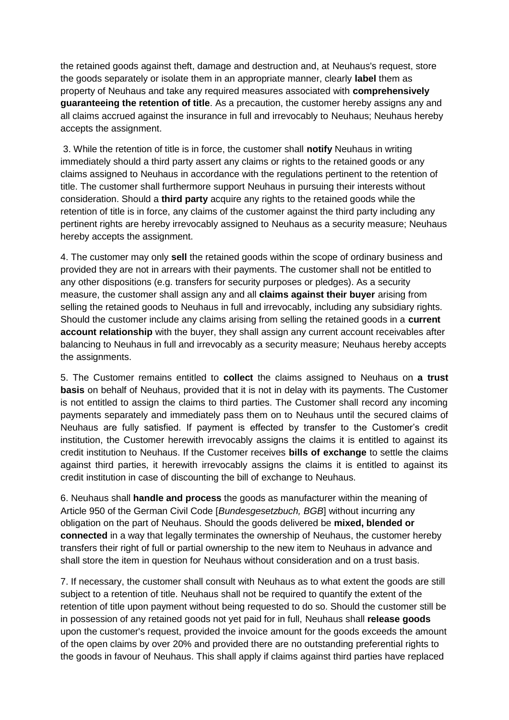the retained goods against theft, damage and destruction and, at Neuhaus's request, store the goods separately or isolate them in an appropriate manner, clearly **label** them as property of Neuhaus and take any required measures associated with **comprehensively guaranteeing the retention of title**. As a precaution, the customer hereby assigns any and all claims accrued against the insurance in full and irrevocably to Neuhaus; Neuhaus hereby accepts the assignment.

3. While the retention of title is in force, the customer shall **notify** Neuhaus in writing immediately should a third party assert any claims or rights to the retained goods or any claims assigned to Neuhaus in accordance with the regulations pertinent to the retention of title. The customer shall furthermore support Neuhaus in pursuing their interests without consideration. Should a **third party** acquire any rights to the retained goods while the retention of title is in force, any claims of the customer against the third party including any pertinent rights are hereby irrevocably assigned to Neuhaus as a security measure; Neuhaus hereby accepts the assignment.

4. The customer may only **sell** the retained goods within the scope of ordinary business and provided they are not in arrears with their payments. The customer shall not be entitled to any other dispositions (e.g. transfers for security purposes or pledges). As a security measure, the customer shall assign any and all **claims against their buyer** arising from selling the retained goods to Neuhaus in full and irrevocably, including any subsidiary rights. Should the customer include any claims arising from selling the retained goods in a **current account relationship** with the buyer, they shall assign any current account receivables after balancing to Neuhaus in full and irrevocably as a security measure; Neuhaus hereby accepts the assignments.

5. The Customer remains entitled to **collect** the claims assigned to Neuhaus on **a trust basis** on behalf of Neuhaus, provided that it is not in delay with its payments. The Customer is not entitled to assign the claims to third parties. The Customer shall record any incoming payments separately and immediately pass them on to Neuhaus until the secured claims of Neuhaus are fully satisfied. If payment is effected by transfer to the Customer's credit institution, the Customer herewith irrevocably assigns the claims it is entitled to against its credit institution to Neuhaus. If the Customer receives **bills of exchange** to settle the claims against third parties, it herewith irrevocably assigns the claims it is entitled to against its credit institution in case of discounting the bill of exchange to Neuhaus.

6. Neuhaus shall **handle and process** the goods as manufacturer within the meaning of Article 950 of the German Civil Code [*Bundesgesetzbuch, BGB*] without incurring any obligation on the part of Neuhaus. Should the goods delivered be **mixed, blended or connected** in a way that legally terminates the ownership of Neuhaus, the customer hereby transfers their right of full or partial ownership to the new item to Neuhaus in advance and shall store the item in question for Neuhaus without consideration and on a trust basis.

7. If necessary, the customer shall consult with Neuhaus as to what extent the goods are still subject to a retention of title. Neuhaus shall not be required to quantify the extent of the retention of title upon payment without being requested to do so. Should the customer still be in possession of any retained goods not yet paid for in full, Neuhaus shall **release goods** upon the customer's request, provided the invoice amount for the goods exceeds the amount of the open claims by over 20% and provided there are no outstanding preferential rights to the goods in favour of Neuhaus. This shall apply if claims against third parties have replaced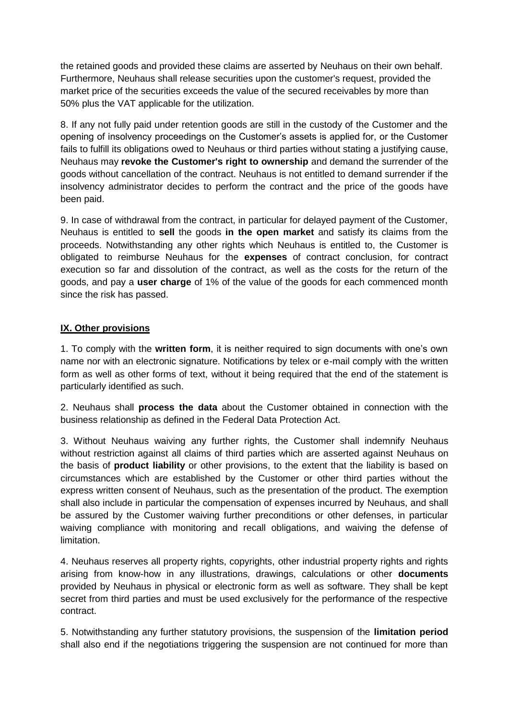the retained goods and provided these claims are asserted by Neuhaus on their own behalf. Furthermore, Neuhaus shall release securities upon the customer's request, provided the market price of the securities exceeds the value of the secured receivables by more than 50% plus the VAT applicable for the utilization.

8. If any not fully paid under retention goods are still in the custody of the Customer and the opening of insolvency proceedings on the Customer's assets is applied for, or the Customer fails to fulfill its obligations owed to Neuhaus or third parties without stating a justifying cause, Neuhaus may **revoke the Customer's right to ownership** and demand the surrender of the goods without cancellation of the contract. Neuhaus is not entitled to demand surrender if the insolvency administrator decides to perform the contract and the price of the goods have been paid.

9. In case of withdrawal from the contract, in particular for delayed payment of the Customer, Neuhaus is entitled to **sell** the goods **in the open market** and satisfy its claims from the proceeds. Notwithstanding any other rights which Neuhaus is entitled to, the Customer is obligated to reimburse Neuhaus for the **expenses** of contract conclusion, for contract execution so far and dissolution of the contract, as well as the costs for the return of the goods, and pay a **user charge** of 1% of the value of the goods for each commenced month since the risk has passed.

## **IX. Other provisions**

1. To comply with the **written form**, it is neither required to sign documents with one's own name nor with an electronic signature. Notifications by telex or e-mail comply with the written form as well as other forms of text, without it being required that the end of the statement is particularly identified as such.

2. Neuhaus shall **process the data** about the Customer obtained in connection with the business relationship as defined in the Federal Data Protection Act.

3. Without Neuhaus waiving any further rights, the Customer shall indemnify Neuhaus without restriction against all claims of third parties which are asserted against Neuhaus on the basis of **product liability** or other provisions, to the extent that the liability is based on circumstances which are established by the Customer or other third parties without the express written consent of Neuhaus, such as the presentation of the product. The exemption shall also include in particular the compensation of expenses incurred by Neuhaus, and shall be assured by the Customer waiving further preconditions or other defenses, in particular waiving compliance with monitoring and recall obligations, and waiving the defense of limitation.

4. Neuhaus reserves all property rights, copyrights, other industrial property rights and rights arising from know-how in any illustrations, drawings, calculations or other **documents** provided by Neuhaus in physical or electronic form as well as software. They shall be kept secret from third parties and must be used exclusively for the performance of the respective contract.

5. Notwithstanding any further statutory provisions, the suspension of the **limitation period** shall also end if the negotiations triggering the suspension are not continued for more than